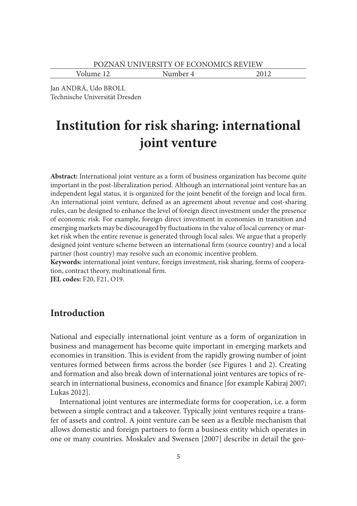Volume 12 Number 4 2012

Jan ANDRÄ, Udo BROLL Technische Universität Dresden

# **Institution for risk sharing: international joint venture**

**Abstract:** International joint venture as a form of business organization has become quite important in the post-liberalization period. Although an international joint venture has an independent legal status, it is organized for the joint benefit of the foreign and local firm. An international joint venture, defined as an agreement about revenue and cost-sharing rules, can be designed to enhance the level of foreign direct investment under the presence of economic risk. For example, foreign direct investment in economies in transition and emerging markets may be discouraged by fluctuations in the value of local currency or market risk when the entire revenue is generated through local sales. We argue that a properly designed joint venture scheme between an international firm (source country) and a local partner (host country) may resolve such an economic incentive problem.

**Keywords:** international joint venture, foreign investment, risk sharing, forms of cooperation, contract theory, multinational firm.

**JEL codes:** F20, F21, O19.

## **Introduction**

National and especially international joint venture as a form of organization in business and management has become quite important in emerging markets and economies in transition. This is evident from the rapidly growing number of joint ventures formed between firms across the border (see Figures 1 and 2). Creating and formation and also break down of international joint ventures are topics of research in international business, economics and finance [for example Kabiraj 2007; Lukas 2012].

International joint ventures are intermediate forms for cooperation, i.e. a form between a simple contract and a takeover. Typically joint ventures require a transfer of assets and control. A joint venture can be seen as a flexible mechanism that allows domestic and foreign partners to form a business entity which operates in one or many countries. Moskalev and Swensen [2007] describe in detail the geo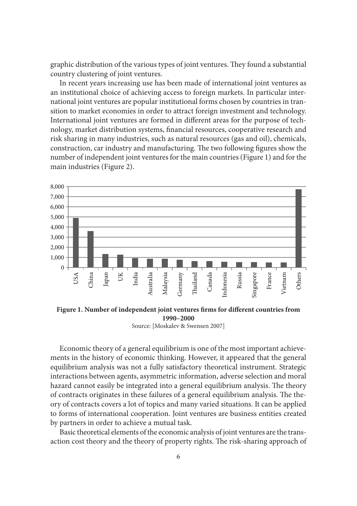graphic distribution of the various types of joint ventures. They found a substantial country clustering of joint ventures.

In recent years increasing use has been made of international joint ventures as an institutional choice of achieving access to foreign markets. In particular international joint ventures are popular institutional forms chosen by countries in transition to market economies in order to attract foreign investment and technology. International joint ventures are formed in different areas for the purpose of technology, market distribution systems, financial resources, cooperative research and risk sharing in many industries, such as natural resources (gas and oil), chemicals, construction, car industry and manufacturing. The two following figures show the number of independent joint ventures for the main countries (Figure 1) and for the main industries (Figure 2).



Figure 1. Number of independent joint ventures firms for different countries from **1990–2000**

Source: [Moskalev & Swensen 2007]

Economic theory of a general equilibrium is one of the most important achievements in the history of economic thinking. However, it appeared that the general equilibrium analysis was not a fully satisfactory theoretical instrument. Strategic interactions between agents, asymmetric information, adverse selection and moral hazard cannot easily be integrated into a general equilibrium analysis. The theory of contracts originates in these failures of a general equilibrium analysis. The theory of contracts covers a lot of topics and many varied situations. It can be applied to forms of international cooperation. Joint ventures are business entities created by partners in order to achieve a mutual task.

Basic theoretical elements of the economic analysis of joint ventures are the transaction cost theory and the theory of property rights. The risk-sharing approach of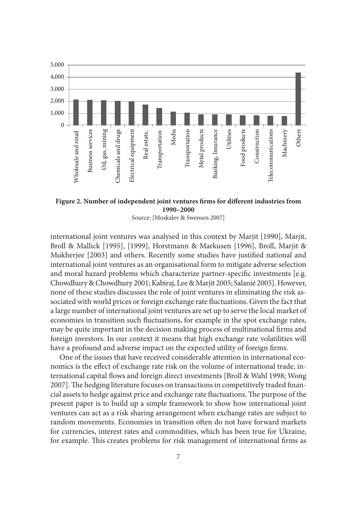

Figure 2. Number of independent joint ventures firms for different industries from **1990–2000**

Source: [Moskalev & Swensen 2007]

international joint ventures was analysed in this context by Marjit [1990], Marjit, Broll & Mallick [1995], [1999], Horstmann & Markusen [1996], Broll, Marjit & Mukherjee [2003] and others. Recently some studies have justified national and international joint ventures as an organisational form to mitigate adverse selection and moral hazard problems which characterize partner-specific investments [e.g. Chowdhury & Chowdhury 2001; Kabiraj, Lee & Marjit 2005; Salanié 2005]. However, none of these studies discusses the role of joint ventures in eliminating the risk associated with world prices or foreign exchange rate fluctuations. Given the fact that a large number of international joint ventures are set up to serve the local market of economies in transition such fluctuations, for example in the spot exchange rates, may be quite important in the decision making process of multinational firms and foreign investors. In our context it means that high exchange rate volatilities will have a profound and adverse impact on the expected utility of foreign firms.

One of the issues that have received considerable attention in international economics is the effect of exchange rate risk on the volume of international trade, international capital flows and foreign direct investments [Broll & Wahl 1998; Wong 2007]. The hedging literature focuses on transactions in competitively traded financial assets to hedge against price and exchange rate fluctuations. The purpose of the present paper is to build up a simple framework to show how international joint ventures can act as a risk sharing arrangement when exchange rates are subject to random movements. Economies in transition often do not have forward markets for currencies, interest rates and commodities, which has been true for Ukraine, for example. This creates problems for risk management of international firms as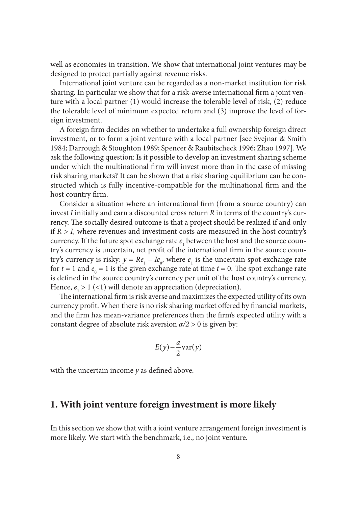well as economies in transition. We show that international joint ventures may be designed to protect partially against revenue risks.

International joint venture can be regarded as a non-market institution for risk sharing. In particular we show that for a risk-averse international firm a joint venture with a local partner (1) would increase the tolerable level of risk, (2) reduce the tolerable level of minimum expected return and (3) improve the level of foreign investment.

A foreign firm decides on whether to undertake a full ownership foreign direct investment, or to form a joint venture with a local partner [see Svejnar & Smith 1984; Darrough & Stoughton 1989; Spencer & Raubitscheck 1996; Zhao 1997]. We ask the following question: Is it possible to develop an investment sharing scheme under which the multinational firm will invest more than in the case of missing risk sharing markets? It can be shown that a risk sharing equilibrium can be constructed which is fully incentive-compatible for the multinational firm and the host country firm.

Consider a situation where an international firm (from a source country) can invest *I* initially and earn a discounted cross return *R* in terms of the country's currency. The socially desired outcome is that a project should be realized if and only if  $R > I$ , where revenues and investment costs are measured in the host country's currency. If the future spot exchange rate  $e_1$  between the host and the source country's currency is uncertain, net profit of the international firm in the source country's currency is risky:  $y = Re_1 - Ie_0$ , where  $e_1$  is the uncertain spot exchange rate for  $t = 1$  and  $e_0 = 1$  is the given exchange rate at time  $t = 0$ . The spot exchange rate is defined in the source country's currency per unit of the host country's currency. Hence,  $e_1 > 1$  (<1) will denote an appreciation (depreciation).

The international firm is risk averse and maximizes the expected utility of its own currency profit. When there is no risk sharing market offered by financial markets, and the firm has mean-variance preferences then the firm's expected utility with a constant degree of absolute risk aversion  $\alpha/2 > 0$  is given by:

$$
E(y) - \frac{a}{2} \text{var}(y)
$$

with the uncertain income  $y$  as defined above.

## **1. With joint venture foreign investment is more likely**

In this section we show that with a joint venture arrangement foreign investment is more likely. We start with the benchmark, i.e., no joint venture.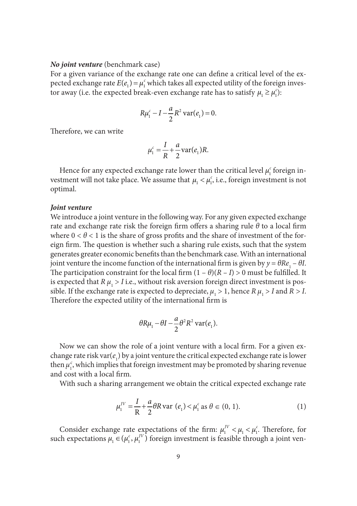#### *No joint venture* (benchmark case)

For a given variance of the exchange rate one can define a critical level of the expected exchange rate  $E(e_1) = \mu_1^c$  which takes all expected utility of the foreign investor away (i.e. the expected break-even exchange rate has to satisfy  $\mu_1 \ge \mu_1^c$ ):

$$
R\mu_1^c - I - \frac{a}{2}R^2 \text{ var}(e_1) = 0.
$$

Therefore, we can write

$$
\mu_1^c = \frac{I}{R} + \frac{a}{2} \text{var}(e_1) R.
$$

Hence for any expected exchange rate lower than the critical level  $\mu_1^c$  foreign investment will not take place. We assume that  $\mu_1 < \mu_1^c$ , i.e., foreign investment is not optimal.

#### *Joint venture*

We introduce a joint venture in the following way. For any given expected exchange rate and exchange rate risk the foreign firm offers a sharing rule  $\theta$  to a local firm where  $0 < \theta < 1$  is the share of gross profits and the share of investment of the foreign firm. The question is whether such a sharing rule exists, such that the system generates greater economic benefits than the benchmark case. With an international joint venture the income function of the international firm is given by  $y = \theta Re_1 - \theta I$ . The participation constraint for the local firm  $(1 - \theta)(R - I) > 0$  must be fulfilled. It is expected that  $R \mu_1 > I$  i.e., without risk aversion foreign direct investment is possible. If the exchange rate is expected to depreciate,  $\mu_1 > 1$ , hence  $R \mu_1 > I$  and  $R > I$ . Therefore the expected utility of the international firm is

$$
\theta R\mu_1 - \theta I - \frac{a}{2}\theta^2 R^2 \text{ var}(e_1).
$$

Now we can show the role of a joint venture with a local firm. For a given exchange rate risk var $(e_1)$  by a joint venture the critical expected exchange rate is lower then  $\mu_{1}^{c}$ , which implies that foreign investment may be promoted by sharing revenue and cost with a local firm.

With such a sharing arrangement we obtain the critical expected exchange rate

$$
\mu_1^{IV} = \frac{I}{R} + \frac{a}{2} \theta R \text{ var } (e_1) < \mu_1^c \text{ as } \theta \in (0, 1). \tag{1}
$$

Consider exchange rate expectations of the firm:  $\mu_1^V < \mu_1 < \mu_1^c$ . Therefore, for such expectations  $\mu_1 \in (\mu_1^c, \mu_1^{IV})$  foreign investment is feasible through a joint ven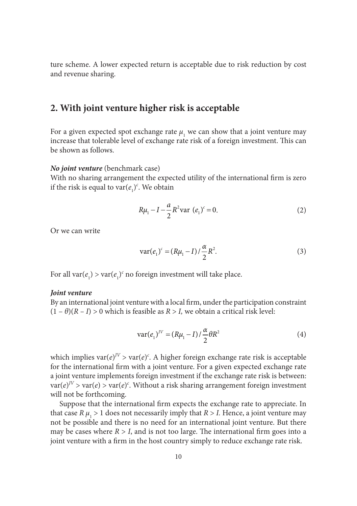ture scheme. A lower expected return is acceptable due to risk reduction by cost and revenue sharing.

## **2. With joint venture higher risk is acceptable**

For a given expected spot exchange rate  $\mu$ <sub>1</sub> we can show that a joint venture may increase that tolerable level of exchange rate risk of a foreign investment. This can be shown as follows.

#### *No joint venture* (benchmark case)

With no sharing arrangement the expected utility of the international firm is zero if the risk is equal to  $\text{var}(e_1)^c$ . We obtain

$$
R\mu_1 - I - \frac{a}{2}R^2 \text{var } (e_1)^c = 0. \tag{2}
$$

Or we can write

$$
var(e_1)^c = (R\mu_1 - I) / \frac{\alpha}{2} R^2.
$$
 (3)

For all  $var(e_1)$  >  $var(e_1)^c$  no foreign investment will take place.

#### *Joint venture*

By an international joint venture with a local firm, under the participation constraint  $(1 - \theta)(R - I) > 0$  which is feasible as  $R > I$ , we obtain a critical risk level:

$$
var(e_1)^{JV} = (R\mu_1 - I) / \frac{\alpha}{2} \theta R^2
$$
 (4)

which implies  $var(e)^{IV}$  >  $var(e)^{c}$ . A higher foreign exchange rate risk is acceptable for the international firm with a joint venture. For a given expected exchange rate a joint venture implements foreign investment if the exchange rate risk is between:  $var(e)^{IV}$  >  $var(e)$  >  $var(e)^{c}$ . Without a risk sharing arrangement foreign investment will not be forthcoming.

Suppose that the international firm expects the exchange rate to appreciate. In that case  $R \mu_1 > 1$  does not necessarily imply that  $R > I$ . Hence, a joint venture may not be possible and there is no need for an international joint venture. But there may be cases where  $R > I$ , and is not too large. The international firm goes into a joint venture with a firm in the host country simply to reduce exchange rate risk.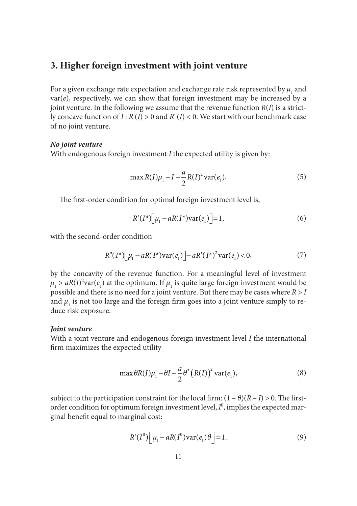## **3. Higher foreign investment with joint venture**

For a given exchange rate expectation and exchange rate risk represented by  $\mu_1$  and  $var(e)$ , respectively, we can show that foreign investment may be increased by a joint venture. In the following we assume that the revenue function  $R(I)$  is a strictly concave function of  $I : R'(I) > 0$  and  $R''(I) < 0$ . We start with our benchmark case of no joint venture.

#### *No joint venture*

With endogenous foreign investment *I* the expected utility is given by:

$$
\max R(I)\mu_1 - I - \frac{a}{2}R(I)^2 \operatorname{var}(e_1). \tag{5}
$$

The first-order condition for optimal foreign investment level is,

$$
R'(I^*)\left[\mu_1 - aR(I^*)\text{var}(e_1)\right] = 1,\tag{6}
$$

with the second-order condition

$$
R''(I^*)\Big[\mu_1 - aR(I^*)\text{var}(e_1)\Big] - aR'(I^*)^2\text{var}(e_1) < 0,\tag{7}
$$

by the concavity of the revenue function. For a meaningful level of investment  $\mu_1 > aR(I)^2 \text{var}(e_1)$  at the optimum. If  $\mu_1$  is quite large foreign investment would be possible and there is no need for a joint venture. But there may be cases where *R* > *I*  and  $\mu_{1}$  is not too large and the foreign firm goes into a joint venture simply to reduce risk exposure.

#### *Joint venture*

With a joint venture and endogenous foreign investment level *I* the international firm maximizes the expected utility

$$
\max \theta R(I)\mu_1 - \theta I - \frac{a}{2}\theta^2 (R(I))^2 \operatorname{var}(e_1),\tag{8}
$$

subject to the participation constraint for the local firm:  $(1 - \theta)(R - I) > 0$ . The firstorder condition for optimum foreign investment level,  $I^0$ , implies the expected marginal benefit equal to marginal cost:

$$
R'(I^0)\left[\mu_1 - aR(I^0)\text{var}(e_1)\theta\right] = 1.
$$
\n(9)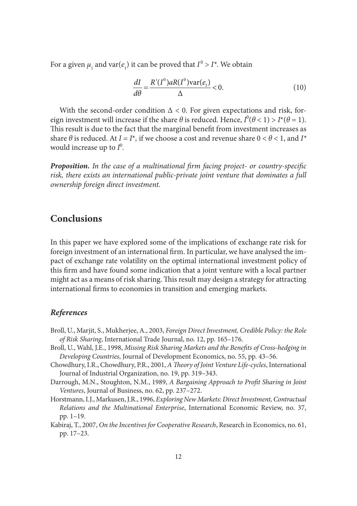For a given  $\mu_1$  and  $\text{var}(e_1)$  it can be proved that  $I^0 > I^*$ . We obtain

$$
\frac{dI}{d\theta} = \frac{R'(I^0)aR(I^0)\text{var}(e_1)}{\Delta} < 0.
$$
\n(10)

With the second-order condition  $\Delta < 0$ . For given expectations and risk, foreign investment will increase if the share  $\theta$  is reduced. Hence,  $I^0(\theta < 1) > I^*(\theta = 1)$ . This result is due to the fact that the marginal benefit from investment increases as share  $\theta$  is reduced. At  $I = I^*$ , if we choose a cost and revenue share  $0 < \theta < 1$ , and  $I^*$ would increase up to  $I^0$ .

**Proposition.** In the case of a multinational firm facing project- or country-specific *risk, there exists an international public-private joint venture that dominates a full ownership foreign direct investment.*

## **Conclusions**

In this paper we have explored some of the implications of exchange rate risk for foreign investment of an international firm. In particular, we have analysed the impact of exchange rate volatility on the optimal international investment policy of this firm and have found some indication that a joint venture with a local partner might act as a means of risk sharing. This result may design a strategy for attracting international firms to economies in transition and emerging markets.

### *References*

- Broll, U., Marjit, S., Mukherjee, A., 2003, *Foreign Direct Investment, Credible Policy: the Role of Risk Sharing*, International Trade Journal, no. 12, pp. 165–176.
- Broll, U., Wahl, J.E., 1998, *Missing Risk Sharing Markets and the Benefits of Cross-hedging in Developing Countries*, Journal of Development Economics, no. 55, pp. 43–56.
- Chowdhury, I.R., Chowdhury, P.R., 2001, *A Th eory of Joint Venture Life-cycles*, International Journal of Industrial Organization, no. 19, pp. 319–343.
- Darrough, M.N., Stoughton, N.M., 1989, *A Bargaining Approach to Profit Sharing in Joint Ventures*, Journal of Business, no. 62, pp. 237–272.
- Horstmann, I.J., Markusen, J.R., 1996, *Exploring New Markets: Direct Investment, Contractual Relations and the Multinational Enterprise*, International Economic Review, no. 37, pp. 1–19.
- Kabiraj, T., 2007, *On the Incentives for Cooperative Research*, Research in Economics, no. 61, pp. 17–23.